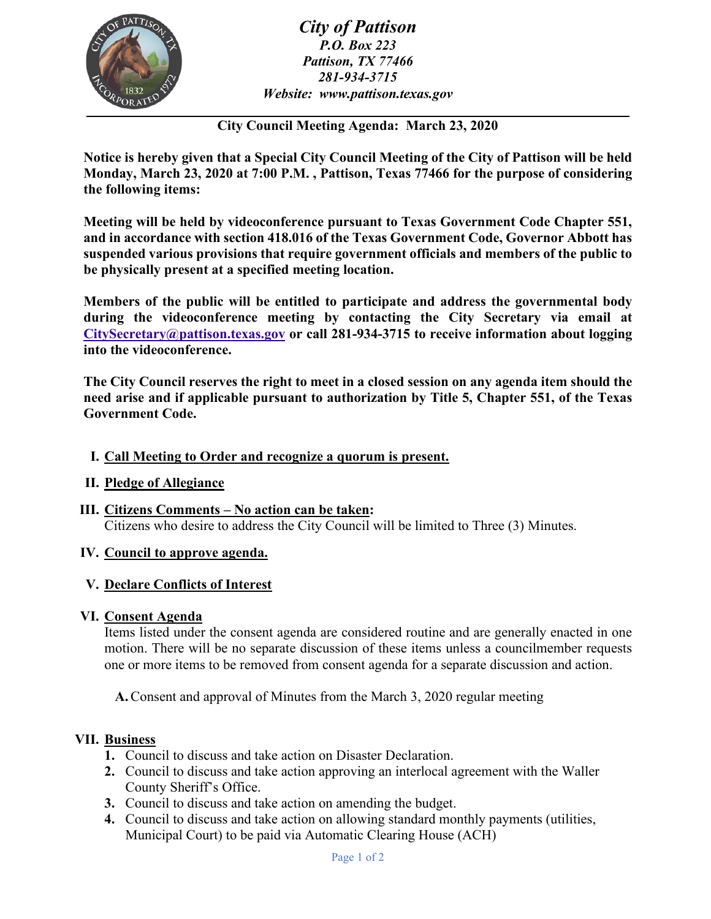

*City of Pattison P.O. Box 223 Pattison, TX 77466 281-934-3715 Website: www.pattison.texas.gov*

**City Council Meeting Agenda: March 23, 2020**

**Notice is hereby given that a Special City Council Meeting of the City of Pattison will be held Monday, March 23, 2020 at 7:00 P.M. , Pattison, Texas 77466 for the purpose of considering the following items:**

**Meeting will be held by videoconference pursuant to Texas Government Code Chapter 551, and in accordance with section 418.016 of the Texas Government Code, Governor Abbott has suspended various provisions that require government officials and members of the public to be physically present at a specified meeting location.**

**Members of the public will be entitled to participate and address the governmental body during the videoconference meeting by contacting the City Secretary via email at [CitySecretary@pattison.texas.gov](mailto:CitySecretary@pattison.texas.gov) or call 281-934-3715 to receive information about logging into the videoconference.**

**The City Council reserves the right to meet in a closed session on any agenda item should the need arise and if applicable pursuant to authorization by Title 5, Chapter 551, of the Texas Government Code.**

### **I. Call Meeting to Order and recognize a quorum is present.**

## **II. Pledge of Allegiance**

**III. Citizens Comments – No action can be taken:**  Citizens who desire to address the City Council will be limited to Three (3) Minutes.

#### **IV. Council to approve agenda.**

#### **V. Declare Conflicts of Interest**

#### **VI. Consent Agenda**

Items listed under the consent agenda are considered routine and are generally enacted in one motion. There will be no separate discussion of these items unless a councilmember requests one or more items to be removed from consent agenda for a separate discussion and action.

**A.**Consent and approval of Minutes from the March 3, 2020 regular meeting

#### **VII. Business**

- **1.** Council to discuss and take action on Disaster Declaration.
- **2.** Council to discuss and take action approving an interlocal agreement with the Waller County Sheriff's Office.
- **3.** Council to discuss and take action on amending the budget.
- **4.** Council to discuss and take action on allowing standard monthly payments (utilities, Municipal Court) to be paid via Automatic Clearing House (ACH)